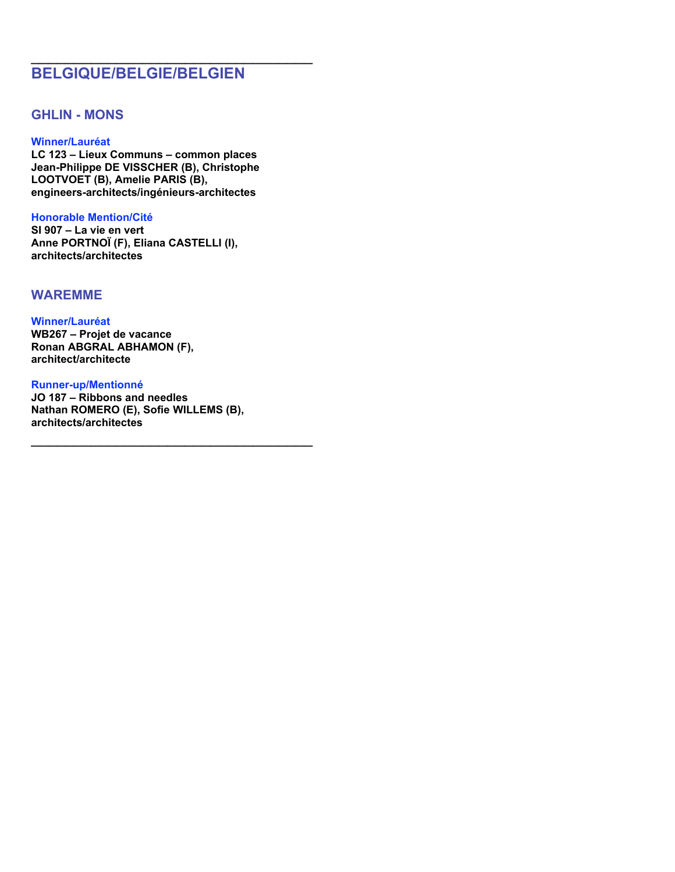# **BELGIQUE/BELGIE/BELGIEN**

\_\_\_\_\_\_\_\_\_\_\_\_\_\_\_\_\_\_\_\_\_\_\_\_\_\_\_\_\_\_\_\_\_

## **GHLIN - MONS**

### **Winner/Lauréat**

**LC 123 – Lieux Communs – common places Jean-Philippe DE VISSCHER (B), Christophe LOOTVOET (B), Amelie PARIS (B), engineers-architects/ingénieurs-architectes**

### **Honorable Mention/Cité**

**SI 907 – La vie en vert Anne PORTNOÏ (F), Eliana CASTELLI (I), architects/architectes**

## **WAREMME**

### **Winner/Lauréat WB267 – Projet de vacance Ronan ABGRAL ABHAMON (F), architect/architecte**

**Runner-up/Mentionné**

**JO 187 – Ribbons and needles Nathan ROMERO (E), Sofie WILLEMS (B), architects/architectes**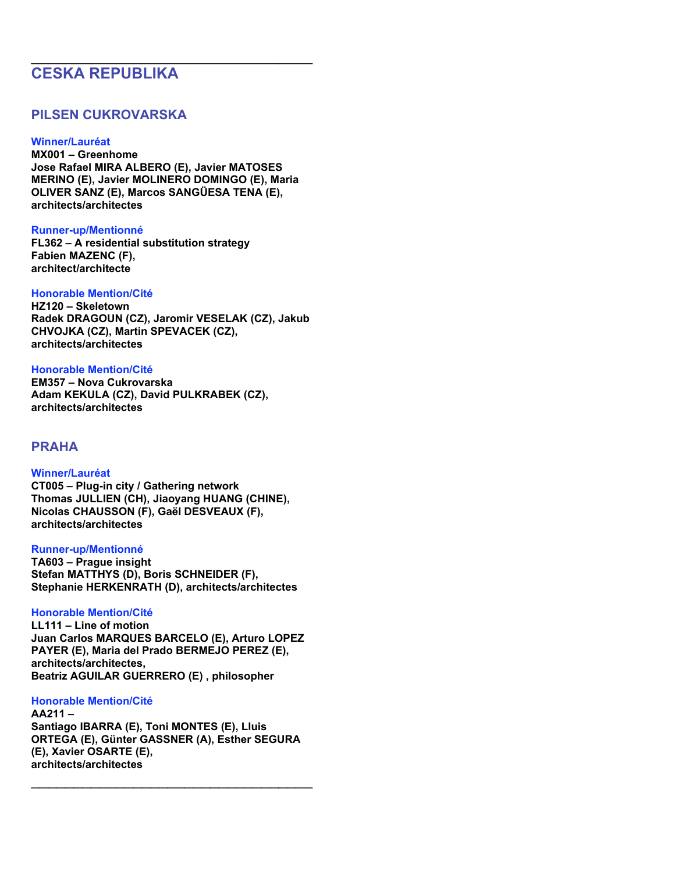# **CESKA REPUBLIKA**

## **PILSEN CUKROVARSKA**

### **Winner/Lauréat**

**MX001 – Greenhome Jose Rafael MIRA ALBERO (E), Javier MATOSES MERINO (E), Javier MOLINERO DOMINGO (E), Maria OLIVER SANZ (E), Marcos SANGÜESA TENA (E), architects/architectes**

\_\_\_\_\_\_\_\_\_\_\_\_\_\_\_\_\_\_\_\_\_\_\_\_\_\_\_\_\_\_\_\_\_

### **Runner-up/Mentionné**

**FL362 – A residential substitution strategy Fabien MAZENC (F), architect/architecte**

### **Honorable Mention/Cité**

**HZ120 – Skeletown Radek DRAGOUN (CZ), Jaromir VESELAK (CZ), Jakub CHVOJKA (CZ), Martin SPEVACEK (CZ), architects/architectes**

### **Honorable Mention/Cité**

**EM357 – Nova Cukrovarska Adam KEKULA (CZ), David PULKRABEK (CZ), architects/architectes**

## **PRAHA**

### **Winner/Lauréat**

**CT005 – Plug-in city / Gathering network Thomas JULLIEN (CH), Jiaoyang HUANG (CHINE), Nicolas CHAUSSON (F), Gaël DESVEAUX (F), architects/architectes**

### **Runner-up/Mentionné**

**TA603 – Prague insight Stefan MATTHYS (D), Boris SCHNEIDER (F), Stephanie HERKENRATH (D), architects/architectes**

### **Honorable Mention/Cité**

**LL111 – Line of motion Juan Carlos MARQUES BARCELO (E), Arturo LOPEZ PAYER (E), Maria del Prado BERMEJO PEREZ (E), architects/architectes, Beatriz AGUILAR GUERRERO (E) , philosopher**

### **Honorable Mention/Cité**

**AA211 – Santiago IBARRA (E), Toni MONTES (E), Lluis ORTEGA (E), Günter GASSNER (A), Esther SEGURA (E), Xavier OSARTE (E), architects/architectes**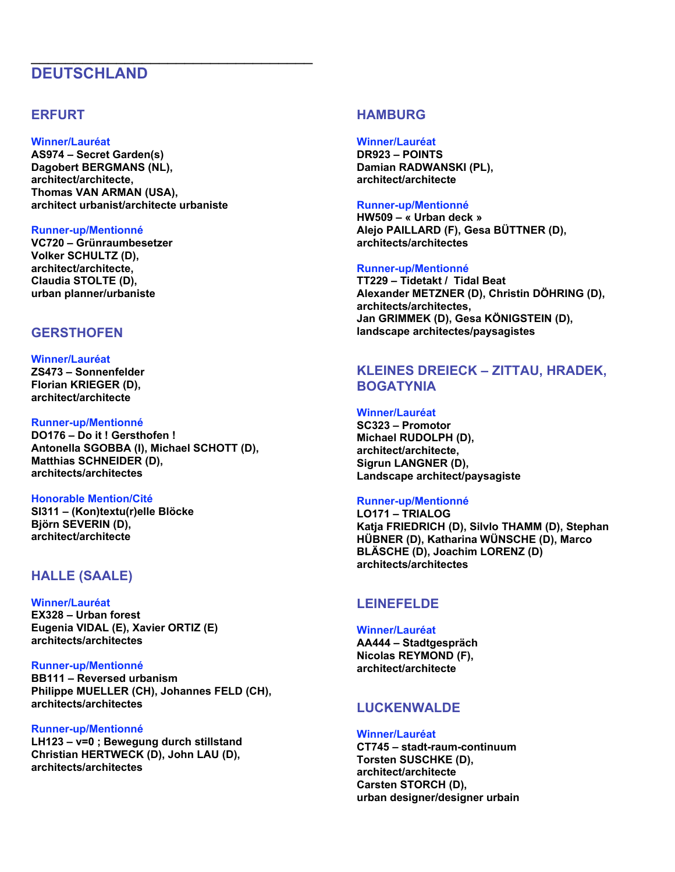# **DEUTSCHLAND**

## **ERFURT**

### **Winner/Lauréat**

**AS974 – Secret Garden(s) Dagobert BERGMANS (NL), architect/architecte, Thomas VAN ARMAN (USA), architect urbanist/architecte urbaniste**

\_\_\_\_\_\_\_\_\_\_\_\_\_\_\_\_\_\_\_\_\_\_\_\_\_\_\_\_\_\_\_\_\_

### **Runner-up/Mentionné**

**VC720 – Grünraumbesetzer Volker SCHULTZ (D), architect/architecte, Claudia STOLTE (D), urban planner/urbaniste**

## **GERSTHOFEN**

### **Winner/Lauréat ZS473 – Sonnenfelder Florian KRIEGER (D), architect/architecte**

### **Runner-up/Mentionné**

**DO176 – Do it ! Gersthofen ! Antonella SGOBBA (I), Michael SCHOTT (D), Matthias SCHNEIDER (D), architects/architectes**

### **Honorable Mention/Cité**

**SI311 – (Kon)textu(r)elle Blöcke Björn SEVERIN (D), architect/architecte**

## **HALLE (SAALE)**

**Winner/Lauréat EX328 – Urban forest Eugenia VIDAL (E), Xavier ORTIZ (E) architects/architectes**

### **Runner-up/Mentionné**

**BB111 – Reversed urbanism Philippe MUELLER (CH), Johannes FELD (CH), architects/architectes**

### **Runner-up/Mentionné**

**LH123 – v=0 ; Bewegung durch stillstand Christian HERTWECK (D), John LAU (D), architects/architectes**

## **HAMBURG**

**Winner/Lauréat DR923 – POINTS Damian RADWANSKI (PL), architect/architecte**

### **Runner-up/Mentionné**

**HW509 – « Urban deck » Alejo PAILLARD (F), Gesa BÜTTNER (D), architects/architectes**

### **Runner-up/Mentionné**

**TT229 – Tidetakt / Tidal Beat Alexander METZNER (D), Christin DÖHRING (D), architects/architectes, Jan GRIMMEK (D), Gesa KÖNIGSTEIN (D), landscape architectes/paysagistes**

## **KLEINES DREIECK – ZITTAU, HRADEK, BOGATYNIA**

### **Winner/Lauréat**

**SC323 – Promotor Michael RUDOLPH (D), architect/architecte, Sigrun LANGNER (D), Landscape architect/paysagiste**

### **Runner-up/Mentionné**

**LO171 – TRIALOG Katja FRIEDRICH (D), Silvlo THAMM (D), Stephan HÜBNER (D), Katharina WÜNSCHE (D), Marco BLÄSCHE (D), Joachim LORENZ (D) architects/architectes**

## **LEINEFELDE**

### **Winner/Lauréat**

**AA444 – Stadtgespräch Nicolas REYMOND (F), architect/architecte**

## **LUCKENWALDE**

### **Winner/Lauréat**

**CT745 – stadt-raum-continuum Torsten SUSCHKE (D), architect/architecte Carsten STORCH (D), urban designer/designer urbain**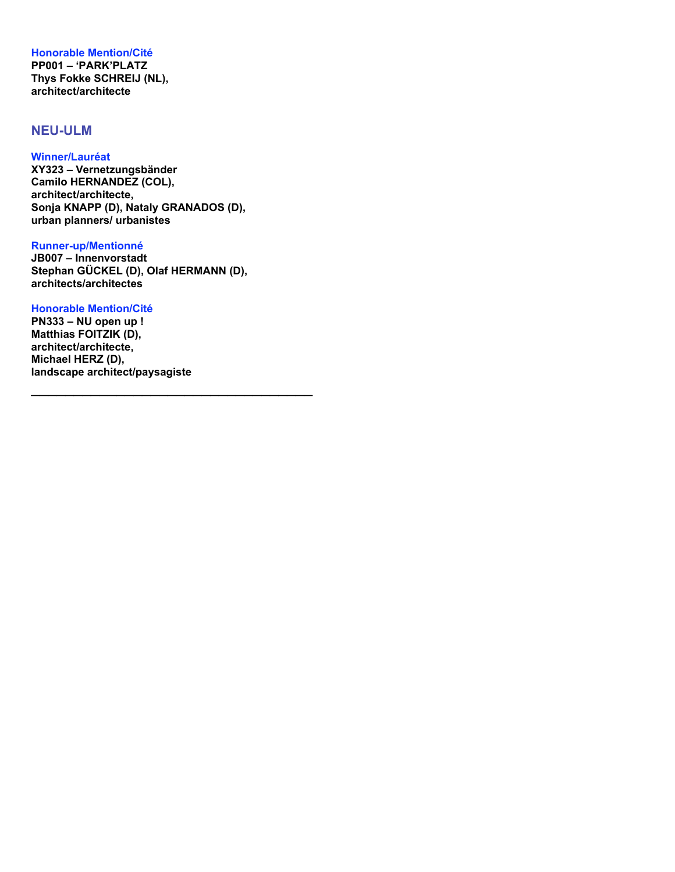**Honorable Mention/Cité PP001 – 'PARK'PLATZ Thys Fokke SCHREIJ (NL), architect/architecte**

## **NEU-ULM**

### **Winner/Lauréat**

**XY323 – Vernetzungsbänder Camilo HERNANDEZ (COL), architect/architecte, Sonja KNAPP (D), Nataly GRANADOS (D), urban planners/ urbanistes**

### **Runner-up/Mentionné**

**JB007 – Innenvorstadt Stephan GÜCKEL (D), Olaf HERMANN (D), architects/architectes**

\_\_\_\_\_\_\_\_\_\_\_\_\_\_\_\_\_\_\_\_\_\_\_\_\_\_\_\_\_\_\_\_\_

### **Honorable Mention/Cité**

**PN333 – NU open up ! Matthias FOITZIK (D), architect/architecte, Michael HERZ (D), landscape architect/paysagiste**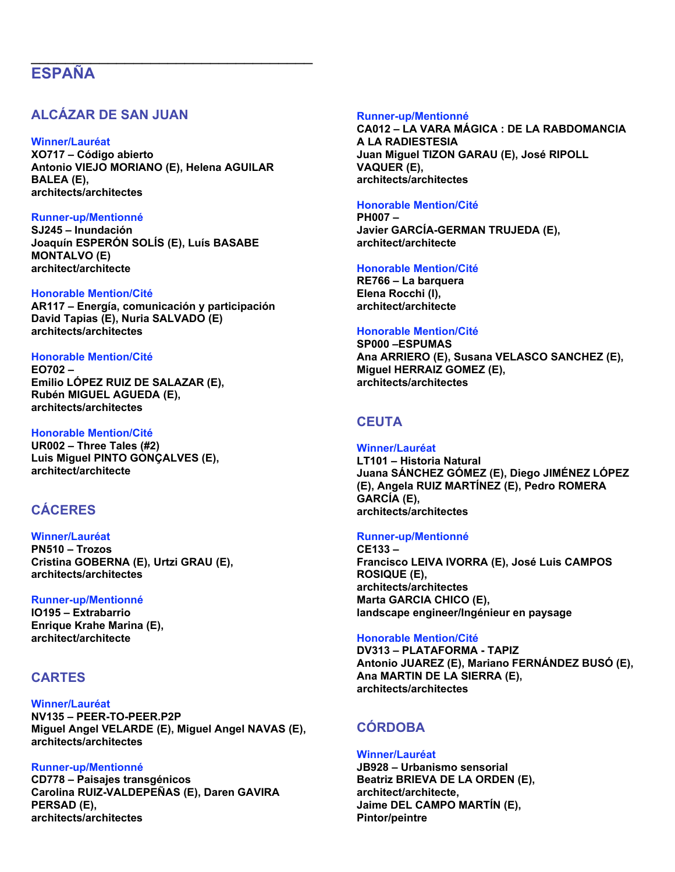# **ESPAÑA**

## **ALCÁZAR DE SAN JUAN**

### **Winner/Lauréat**

**XO717 – Código abierto Antonio VIEJO MORIANO (E), Helena AGUILAR BALEA (E), architects/architectes**

\_\_\_\_\_\_\_\_\_\_\_\_\_\_\_\_\_\_\_\_\_\_\_\_\_\_\_\_\_\_\_\_\_

### **Runner-up/Mentionné**

**SJ245 – Inundación Joaquín ESPERÓN SOLÍS (E), Luís BASABE MONTALVO (E) architect/architecte**

### **Honorable Mention/Cité**

**AR117 – Energía, comunicación y participación David Tapias (E), Nuria SALVADO (E) architects/architectes**

### **Honorable Mention/Cité**

**EO702 – Emilio LÓPEZ RUIZ DE SALAZAR (E), Rubén MIGUEL AGUEDA (E), architects/architectes**

### **Honorable Mention/Cité**

**UR002 – Three Tales (#2) Luis Miguel PINTO GONÇALVES (E), architect/architecte**

## **CÁCERES**

#### **Winner/Lauréat PN510 – Trozos Cristina GOBERNA (E), Urtzi GRAU (E), architects/architectes**

### **Runner-up/Mentionné**

**IO195 – Extrabarrio Enrique Krahe Marina (E), architect/architecte**

### **CARTES**

### **Winner/Lauréat**

**NV135 – PEER-TO-PEER.P2P Miguel Angel VELARDE (E), Miguel Angel NAVAS (E), architects/architectes**

### **Runner-up/Mentionné**

**CD778 – Paisajes transgénicos Carolina RUIZ-VALDEPEÑAS (E), Daren GAVIRA PERSAD (E), architects/architectes**

#### **Runner-up/Mentionné**

**CA012 – LA VARA MÁGICA : DE LA RABDOMANCIA A LA RADIESTESIA Juan Miguel TIZON GARAU (E), José RIPOLL VAQUER (E), architects/architectes**

### **Honorable Mention/Cité**

**PH007 – Javier GARCÍA-GERMAN TRUJEDA (E), architect/architecte**

### **Honorable Mention/Cité**

**RE766 – La barquera Elena Rocchi (I), architect/architecte**

### **Honorable Mention/Cité**

**SP000 –ESPUMAS Ana ARRIERO (E), Susana VELASCO SANCHEZ (E), Miguel HERRAIZ GOMEZ (E), architects/architectes**

## **CEUTA**

# **Winner/Lauréat**

**LT101 – Historia Natural Juana SÁNCHEZ GÓMEZ (E), Diego JIMÉNEZ LÓPEZ (E), Angela RUIZ MARTÍNEZ (E), Pedro ROMERA GARCÍA (E), architects/architectes**

### **Runner-up/Mentionné**

**CE133 – Francisco LEIVA IVORRA (E), José Luis CAMPOS ROSIQUE (E), architects/architectes Marta GARCIA CHICO (E), landscape engineer/Ingénieur en paysage**

### **Honorable Mention/Cité**

**DV313 – PLATAFORMA - TAPIZ Antonio JUAREZ (E), Mariano FERNÁNDEZ BUSÓ (E), Ana MARTIN DE LA SIERRA (E), architects/architectes**

## **CÓRDOBA**

### **Winner/Lauréat**

**JB928 – Urbanismo sensorial Beatriz BRIEVA DE LA ORDEN (E), architect/architecte, Jaime DEL CAMPO MARTÍN (E), Pintor/peintre**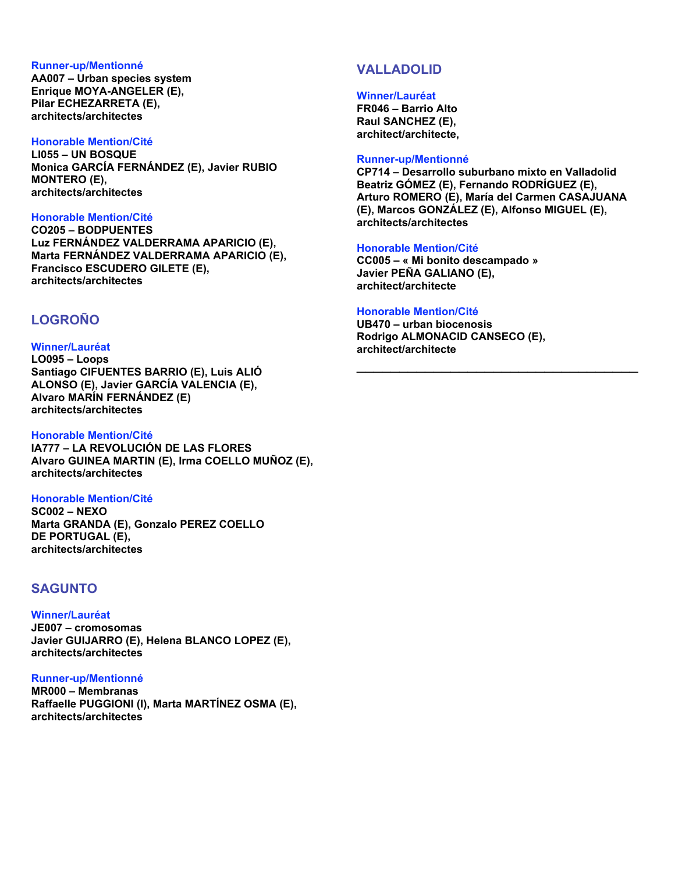#### **Runner-up/Mentionné**

**AA007 – Urban species system Enrique MOYA-ANGELER (E), Pilar ECHEZARRETA (E), architects/architectes**

#### **Honorable Mention/Cité**

**LI055 – UN BOSQUE Monica GARCÍA FERNÁNDEZ (E), Javier RUBIO MONTERO (E), architects/architectes**

### **Honorable Mention/Cité**

**CO205 – BODPUENTES Luz FERNÁNDEZ VALDERRAMA APARICIO (E), Marta FERNÁNDEZ VALDERRAMA APARICIO (E), Francisco ESCUDERO GILETE (E), architects/architectes**

## **LOGROÑO**

### **Winner/Lauréat**

**LO095 – Loops Santiago CIFUENTES BARRIO (E), Luis ALIÓ ALONSO (E), Javier GARCÍA VALENCIA (E), Alvaro MARÍN FERNÁNDEZ (E) architects/architectes**

### **Honorable Mention/Cité**

**IA777 – LA REVOLUCIÓN DE LAS FLORES Alvaro GUINEA MARTIN (E), Irma COELLO MUÑOZ (E), architects/architectes**

### **Honorable Mention/Cité**

**SC002 – NEXO Marta GRANDA (E), Gonzalo PEREZ COELLO DE PORTUGAL (E), architects/architectes**

## **SAGUNTO**

### **Winner/Lauréat**

**JE007 – cromosomas Javier GUIJARRO (E), Helena BLANCO LOPEZ (E), architects/architectes**

### **Runner-up/Mentionné**

**MR000 – Membranas Raffaelle PUGGIONI (I), Marta MARTÍNEZ OSMA (E), architects/architectes**

## **VALLADOLID**

#### **Winner/Lauréat**

**FR046 – Barrio Alto Raul SANCHEZ (E), architect/architecte,**

#### **Runner-up/Mentionné**

**CP714 – Desarrollo suburbano mixto en Valladolid Beatriz GÓMEZ (E), Fernando RODRÍGUEZ (E), Arturo ROMERO (E), María del Carmen CASAJUANA (E), Marcos GONZÁLEZ (E), Alfonso MIGUEL (E), architects/architectes**

\_\_\_\_\_\_\_\_\_\_\_\_\_\_\_\_\_\_\_\_\_\_\_\_\_\_\_\_\_\_\_\_\_

### **Honorable Mention/Cité**

**CC005 – « Mi bonito descampado » Javier PEÑA GALIANO (E), architect/architecte**

### **Honorable Mention/Cité**

**UB470 – urban biocenosis Rodrigo ALMONACID CANSECO (E), architect/architecte**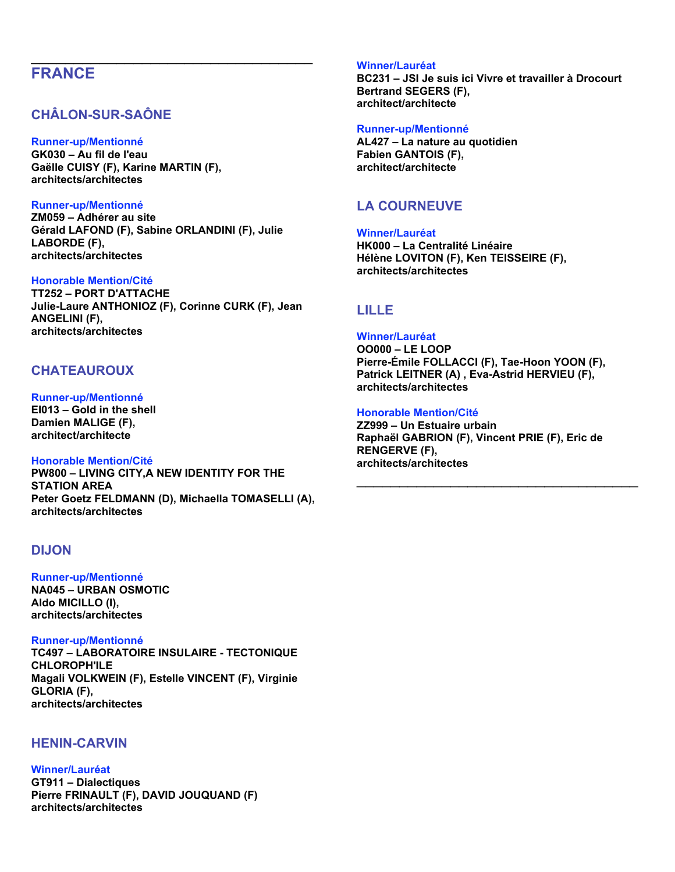# **FRANCE**

## **CHÂLON-SUR-SAÔNE**

### **Runner-up/Mentionné**

**GK030 – Au fil de l'eau Gaëlle CUISY (F), Karine MARTIN (F), architects/architectes**

### **Runner-up/Mentionné**

**ZM059 – Adhérer au site Gérald LAFOND (F), Sabine ORLANDINI (F), Julie LABORDE (F), architects/architectes**

\_\_\_\_\_\_\_\_\_\_\_\_\_\_\_\_\_\_\_\_\_\_\_\_\_\_\_\_\_\_\_\_\_

### **Honorable Mention/Cité**

**TT252 – PORT D'ATTACHE Julie-Laure ANTHONIOZ (F), Corinne CURK (F), Jean ANGELINI (F), architects/architectes**

## **CHATEAUROUX**

## **Runner-up/Mentionné**

**EI013 – Gold in the shell Damien MALIGE (F), architect/architecte**

### **Honorable Mention/Cité**

**PW800 – LIVING CITY,A NEW IDENTITY FOR THE STATION AREA Peter Goetz FELDMANN (D), Michaella TOMASELLI (A), architects/architectes**

## **DIJON**

## **Runner-up/Mentionné**

**NA045 – URBAN OSMOTIC Aldo MICILLO (I), architects/architectes**

### **Runner-up/Mentionné**

**TC497 – LABORATOIRE INSULAIRE - TECTONIQUE CHLOROPH'ILE Magali VOLKWEIN (F), Estelle VINCENT (F), Virginie GLORIA (F), architects/architectes**

## **HENIN-CARVIN**

### **Winner/Lauréat**

**GT911 – Dialectiques Pierre FRINAULT (F), DAVID JOUQUAND (F) architects/architectes**

### **Winner/Lauréat**

**BC231 – JSI Je suis ici Vivre et travailler à Drocourt Bertrand SEGERS (F), architect/architecte**

### **Runner-up/Mentionné**

**AL427 – La nature au quotidien Fabien GANTOIS (F), architect/architecte**

## **LA COURNEUVE**

**Winner/Lauréat HK000 – La Centralité Linéaire Hélène LOVITON (F), Ken TEISSEIRE (F), architects/architectes**

## **LILLE**

### **Winner/Lauréat**

**OO000 – LE LOOP Pierre-Émile FOLLACCI (F), Tae-Hoon YOON (F), Patrick LEITNER (A) , Eva-Astrid HERVIEU (F), architects/architectes**

### **Honorable Mention/Cité**

**ZZ999 – Un Estuaire urbain Raphaël GABRION (F), Vincent PRIE (F), Eric de RENGERVE (F), architects/architectes**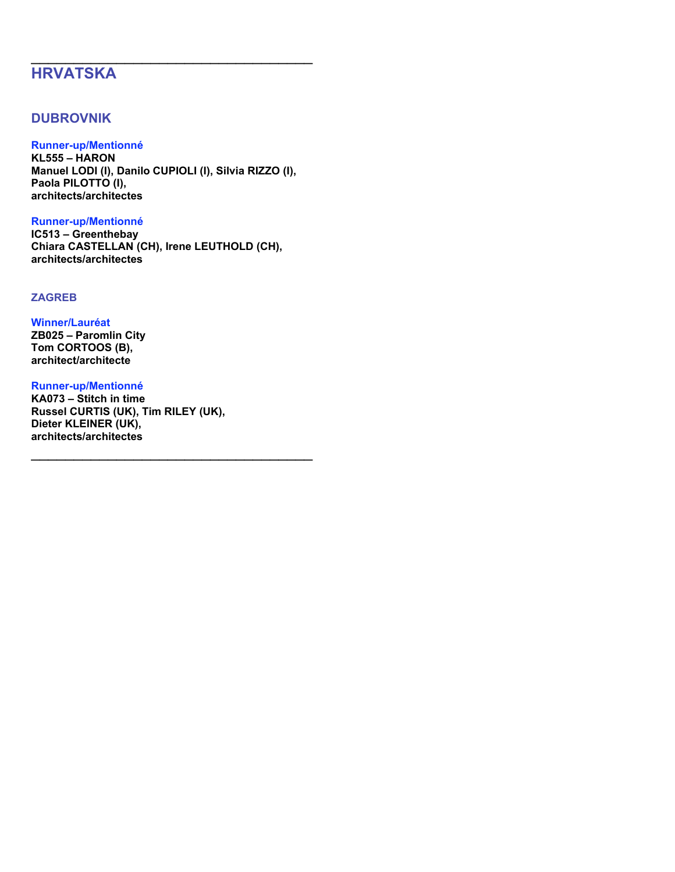# **HRVATSKA**

## **DUBROVNIK**

## **Runner-up/Mentionné**

**KL555 – HARON Manuel LODI (I), Danilo CUPIOLI (I), Silvia RIZZO (I), Paola PILOTTO (I), architects/architectes**

\_\_\_\_\_\_\_\_\_\_\_\_\_\_\_\_\_\_\_\_\_\_\_\_\_\_\_\_\_\_\_\_\_

### **Runner-up/Mentionné**

**IC513 – Greenthebay Chiara CASTELLAN (CH), Irene LEUTHOLD (CH), architects/architectes**

### **ZAGREB**

### **Winner/Lauréat**

**ZB025 – Paromlin City Tom CORTOOS (B), architect/architecte**

### **Runner-up/Mentionné**

**KA073 – Stitch in time Russel CURTIS (UK), Tim RILEY (UK), Dieter KLEINER (UK), architects/architectes**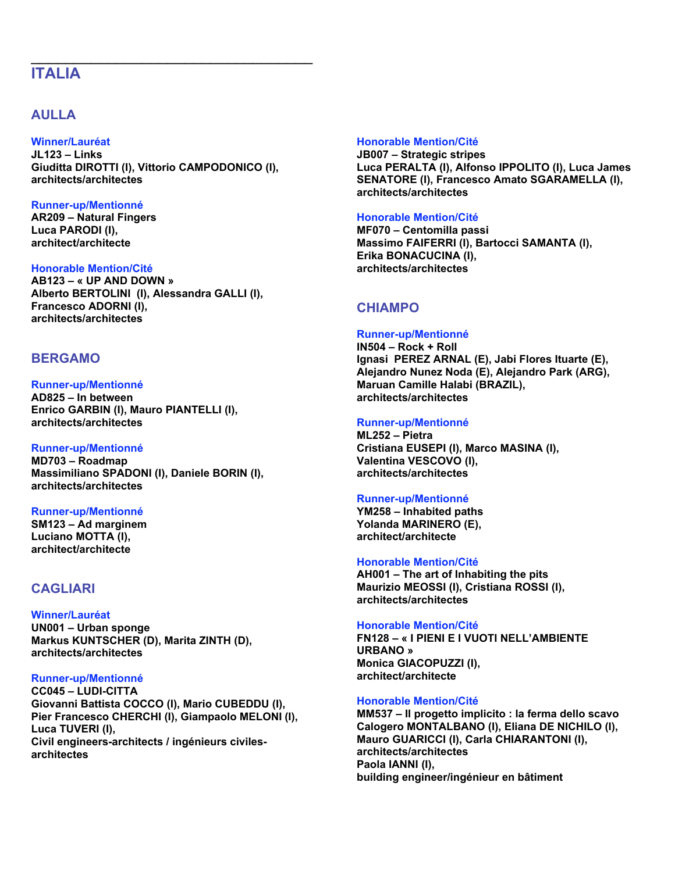# **ITALIA**

## **AULLA**

### **Winner/Lauréat**

**JL123 – Links Giuditta DIROTTI (I), Vittorio CAMPODONICO (I), architects/architectes**

\_\_\_\_\_\_\_\_\_\_\_\_\_\_\_\_\_\_\_\_\_\_\_\_\_\_\_\_\_\_\_\_\_

### **Runner-up/Mentionné**

**AR209 – Natural Fingers Luca PARODI (I), architect/architecte**

### **Honorable Mention/Cité**

**AB123 – « UP AND DOWN » Alberto BERTOLINI (I), Alessandra GALLI (I), Francesco ADORNI (I), architects/architectes**

## **BERGAMO**

### **Runner-up/Mentionné**

**AD825 – In between Enrico GARBIN (I), Mauro PIANTELLI (I), architects/architectes**

### **Runner-up/Mentionné**

**MD703 – Roadmap Massimiliano SPADONI (I), Daniele BORIN (I), architects/architectes**

### **Runner-up/Mentionné**

**SM123 – Ad marginem Luciano MOTTA (I), architect/architecte**

## **CAGLIARI**

**Winner/Lauréat UN001 – Urban sponge Markus KUNTSCHER (D), Marita ZINTH (D), architects/architectes**

### **Runner-up/Mentionné**

**CC045 – LUDI-CITTA Giovanni Battista COCCO (I), Mario CUBEDDU (I), Pier Francesco CHERCHI (I), Giampaolo MELONI (I), Luca TUVERI (I), Civil engineers-architects / ingénieurs civilesarchitectes**

### **Honorable Mention/Cité**

**JB007 – Strategic stripes Luca PERALTA (I), Alfonso IPPOLITO (I), Luca James SENATORE (I), Francesco Amato SGARAMELLA (I), architects/architectes**

### **Honorable Mention/Cité**

**MF070 – Centomilla passi Massimo FAIFERRI (I), Bartocci SAMANTA (I), Erika BONACUCINA (I), architects/architectes**

## **CHIAMPO**

### **Runner-up/Mentionné**

**IN504 – Rock + Roll Ignasi PEREZ ARNAL (E), Jabi Flores Ituarte (E), Alejandro Nunez Noda (E), Alejandro Park (ARG), Maruan Camille Halabi (BRAZIL), architects/architectes**

### **Runner-up/Mentionné**

**ML252 – Pietra Cristiana EUSEPI (I), Marco MASINA (I), Valentina VESCOVO (I), architects/architectes**

### **Runner-up/Mentionné**

**YM258 – Inhabited paths Yolanda MARINERO (E), architect/architecte**

### **Honorable Mention/Cité**

**AH001 – The art of Inhabiting the pits Maurizio MEOSSI (I), Cristiana ROSSI (I), architects/architectes**

### **Honorable Mention/Cité**

**FN128 – « I PIENI E I VUOTI NELL'AMBIENTE URBANO » Monica GIACOPUZZI (I), architect/architecte**

### **Honorable Mention/Cité**

**MM537 – Il progetto implicito : la ferma dello scavo Calogero MONTALBANO (I), Eliana DE NICHILO (I), Mauro GUARICCI (I), Carla CHIARANTONI (I), architects/architectes Paola IANNI (I), building engineer/ingénieur en bâtiment**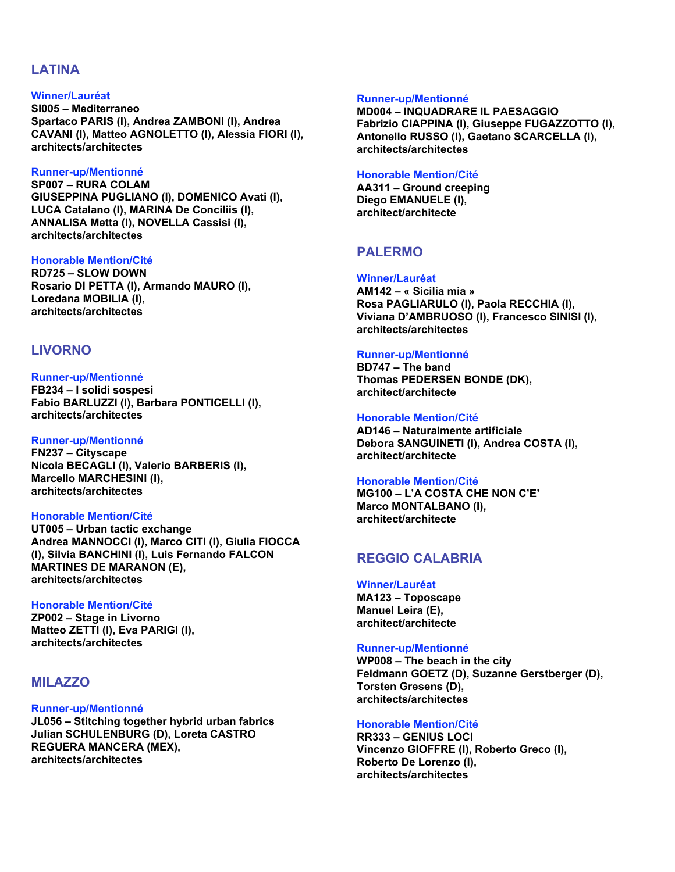### **LATINA**

### **Winner/Lauréat**

**SI005 – Mediterraneo Spartaco PARIS (I), Andrea ZAMBONI (I), Andrea CAVANI (I), Matteo AGNOLETTO (I), Alessia FIORI (I), architects/architectes**

### **Runner-up/Mentionné**

**SP007 – RURA COLAM GIUSEPPINA PUGLIANO (I), DOMENICO Avati (I), LUCA Catalano (I), MARINA De Conciliis (I), ANNALISA Metta (I), NOVELLA Cassisi (I), architects/architectes**

### **Honorable Mention/Cité**

**RD725 – SLOW DOWN Rosario DI PETTA (I), Armando MAURO (I), Loredana MOBILIA (I), architects/architectes**

### **LIVORNO**

### **Runner-up/Mentionné**

**FB234 – I solidi sospesi Fabio BARLUZZI (I), Barbara PONTICELLI (I), architects/architectes**

### **Runner-up/Mentionné**

**FN237 – Cityscape Nicola BECAGLI (I), Valerio BARBERIS (I), Marcello MARCHESINI (I), architects/architectes**

### **Honorable Mention/Cité**

**UT005 – Urban tactic exchange Andrea MANNOCCI (I), Marco CITI (I), Giulia FIOCCA (I), Silvia BANCHINI (I), Luis Fernando FALCON MARTINES DE MARANON (E), architects/architectes**

### **Honorable Mention/Cité**

**ZP002 – Stage in Livorno Matteo ZETTI (I), Eva PARIGI (I), architects/architectes**

### **MILAZZO**

#### **Runner-up/Mentionné**

**JL056 – Stitching together hybrid urban fabrics Julian SCHULENBURG (D), Loreta CASTRO REGUERA MANCERA (MEX), architects/architectes**

#### **Runner-up/Mentionné**

**MD004 – INQUADRARE IL PAESAGGIO Fabrizio CIAPPINA (I), Giuseppe FUGAZZOTTO (I), Antonello RUSSO (I), Gaetano SCARCELLA (I), architects/architectes**

#### **Honorable Mention/Cité**

**AA311 – Ground creeping Diego EMANUELE (I), architect/architecte**

## **PALERMO**

### **Winner/Lauréat**

**AM142 – « Sicilia mia » Rosa PAGLIARULO (I), Paola RECCHIA (I), Viviana D'AMBRUOSO (I), Francesco SINISI (I), architects/architectes**

#### **Runner-up/Mentionné**

**BD747 – The band Thomas PEDERSEN BONDE (DK), architect/architecte**

### **Honorable Mention/Cité**

**AD146 – Naturalmente artificiale Debora SANGUINETI (I), Andrea COSTA (I), architect/architecte**

### **Honorable Mention/Cité**

**MG100 – L'A COSTA CHE NON C'E' Marco MONTALBANO (I), architect/architecte**

## **REGGIO CALABRIA**

#### **Winner/Lauréat**

**MA123 – Toposcape Manuel Leira (E), architect/architecte**

### **Runner-up/Mentionné**

**WP008 – The beach in the city Feldmann GOETZ (D), Suzanne Gerstberger (D), Torsten Gresens (D), architects/architectes**

### **Honorable Mention/Cité**

**RR333 – GENIUS LOCI Vincenzo GIOFFRE (I), Roberto Greco (I), Roberto De Lorenzo (I), architects/architectes**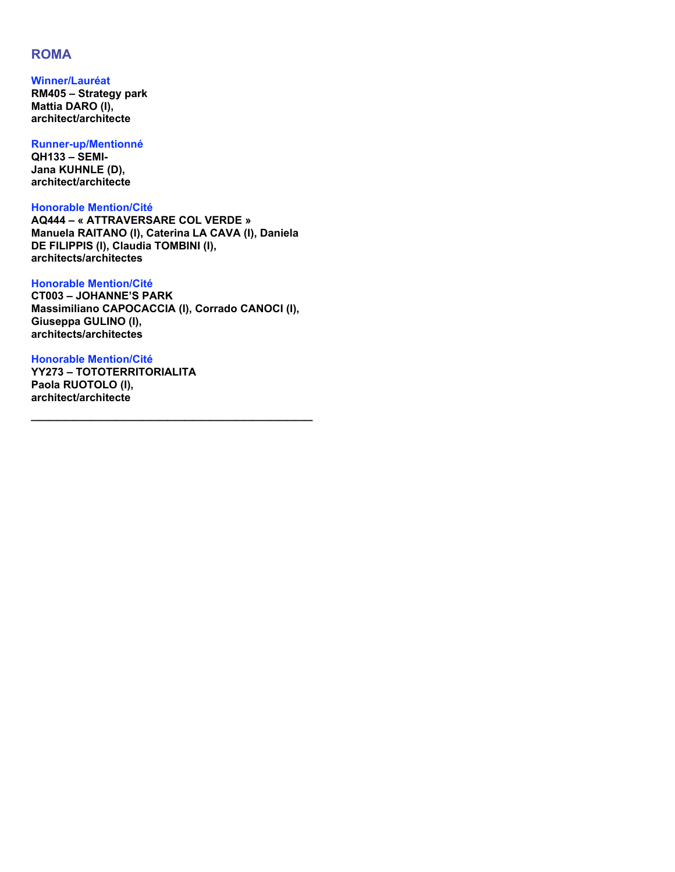## **ROMA**

**Winner/Lauréat RM405 – Strategy park Mattia DARO (I), architect/architecte**

**Runner-up/Mentionné QH133 – SEMI-Jana KUHNLE (D), architect/architecte**

**Honorable Mention/Cité AQ444 – « ATTRAVERSARE COL VERDE » Manuela RAITANO (I), Caterina LA CAVA (I), Daniela DE FILIPPIS (I), Claudia TOMBINI (I), architects/architectes**

**Honorable Mention/Cité CT003 – JOHANNE'S PARK Massimiliano CAPOCACCIA (I), Corrado CANOCI (I), Giuseppa GULINO (I), architects/architectes**

\_\_\_\_\_\_\_\_\_\_\_\_\_\_\_\_\_\_\_\_\_\_\_\_\_\_\_\_\_\_\_\_\_

**Honorable Mention/Cité YY273 – TOTOTERRITORIALITA Paola RUOTOLO (I), architect/architecte**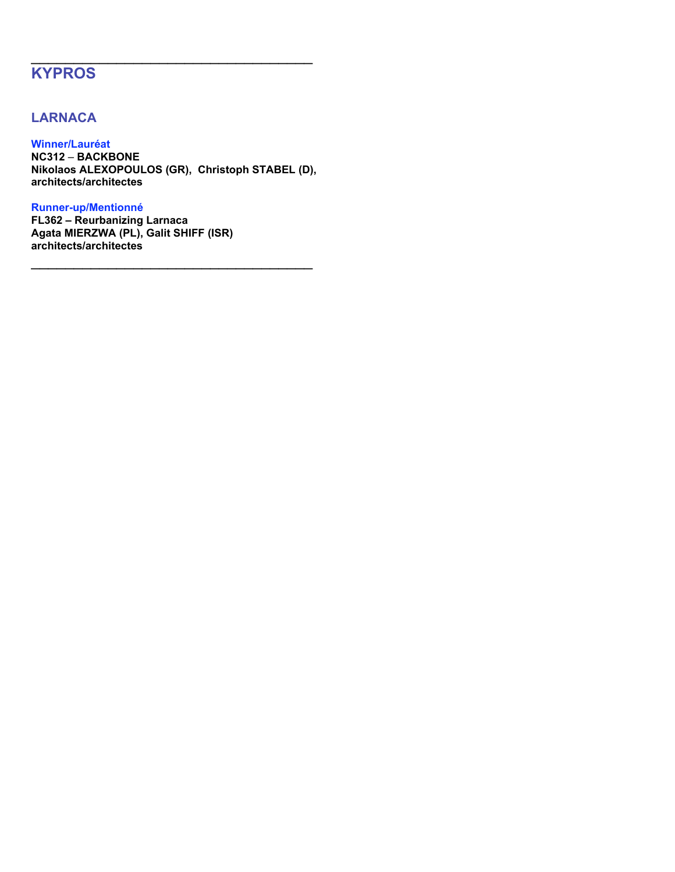# **KYPROS**

## **LARNACA**

**Winner/Lauréat NC312** – **BACKBONE Nikolaos ALEXOPOULOS (GR), Christoph STABEL (D), architects/architectes**

\_\_\_\_\_\_\_\_\_\_\_\_\_\_\_\_\_\_\_\_\_\_\_\_\_\_\_\_\_\_\_\_\_

\_\_\_\_\_\_\_\_\_\_\_\_\_\_\_\_\_\_\_\_\_\_\_\_\_\_\_\_\_\_\_\_\_

### **Runner-up/Mentionné**

**FL362 – Reurbanizing Larnaca Agata MIERZWA (PL), Galit SHIFF (ISR) architects/architectes**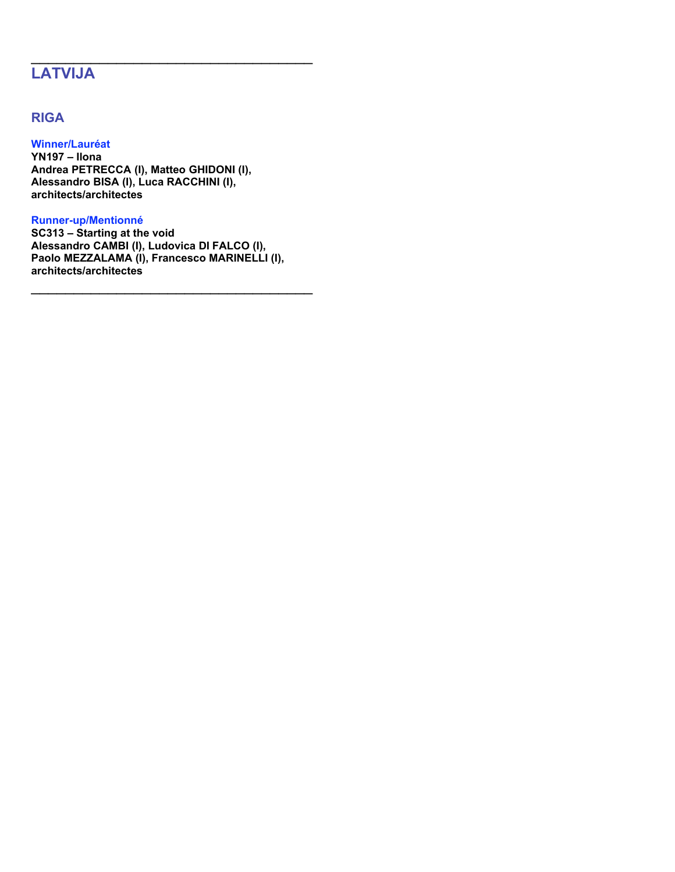# **LATVIJA**

## **RIGA**

**Winner/Lauréat YN197 – Ilona Andrea PETRECCA (I), Matteo GHIDONI (I), Alessandro BISA (I), Luca RACCHINI (I), architects/architectes**

### **Runner-up/Mentionné**

**SC313 – Starting at the void Alessandro CAMBI (I), Ludovica DI FALCO (I), Paolo MEZZALAMA (I), Francesco MARINELLI (I), architects/architectes**

\_\_\_\_\_\_\_\_\_\_\_\_\_\_\_\_\_\_\_\_\_\_\_\_\_\_\_\_\_\_\_\_\_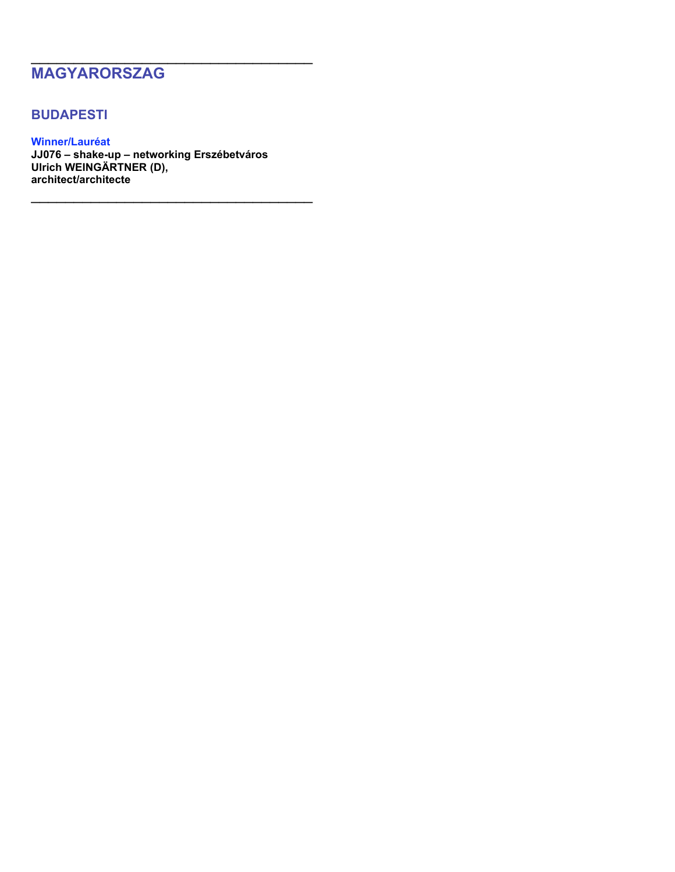# **MAGYARORSZAG**

## **BUDAPESTI**

**Winner/Lauréat JJ076 – shake-up – networking Erszébetváros Ulrich WEINGÄRTNER (D), architect/architecte**

\_\_\_\_\_\_\_\_\_\_\_\_\_\_\_\_\_\_\_\_\_\_\_\_\_\_\_\_\_\_\_\_\_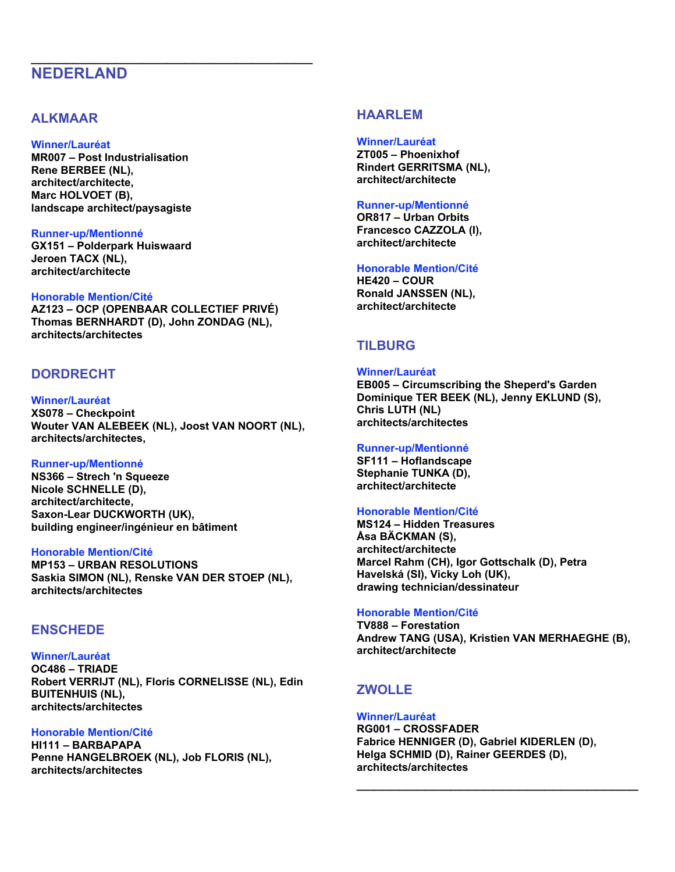# **NEDERLAND**

## **ALKMAAR**

### **Winner/Lauréat**

**MR007 – Post Industrialisation Rene BERBEE (NL), architect/architecte, Marc HOLVOET (B), landscape architect/paysagiste**

### **Runner-up/Mentionné**

**GX151 – Polderpark Huiswaard Jeroen TACX (NL), architect/architecte**

### **Honorable Mention/Cité**

**AZ123 – OCP (OPENBAAR COLLECTIEF PRIVÉ) Thomas BERNHARDT (D), John ZONDAG (NL), architects/architectes**

\_\_\_\_\_\_\_\_\_\_\_\_\_\_\_\_\_\_\_\_\_\_\_\_\_\_\_\_\_\_\_\_\_

## **DORDRECHT**

**Winner/Lauréat XS078 – Checkpoint Wouter VAN ALEBEEK (NL), Joost VAN NOORT (NL), architects/architectes,**

#### **Runner-up/Mentionné**

**NS366 – Strech 'n Squeeze Nicole SCHNELLE (D), architect/architecte, Saxon-Lear DUCKWORTH (UK), building engineer/ingénieur en bâtiment**

### **Honorable Mention/Cité**

**MP153 – URBAN RESOLUTIONS Saskia SIMON (NL), Renske VAN DER STOEP (NL), architects/architectes**

### **ENSCHEDE**

**Winner/Lauréat OC486 – TRIADE Robert VERRIJT (NL), Floris CORNELISSE (NL), Edin BUITENHUIS (NL), architects/architectes**

### **Honorable Mention/Cité**

**HI111 – BARBAPAPA Penne HANGELBROEK (NL), Job FLORIS (NL), architects/architectes**

## **HAARLEM**

**Winner/Lauréat ZT005 – Phoenixhof Rindert GERRITSMA (NL), architect/architecte**

### **Runner-up/Mentionné**

**OR817 – Urban Orbits Francesco CAZZOLA (I), architect/architecte**

### **Honorable Mention/Cité**

**HE420 – COUR Ronald JANSSEN (NL), architect/architecte**

## **TILBURG**

### **Winner/Lauréat**

**EB005 – Circumscribing the Sheperd's Garden Dominique TER BEEK (NL), Jenny EKLUND (S), Chris LUTH (NL) architects/architectes**

### **Runner-up/Mentionné**

**SF111 – Hoflandscape Stephanie TUNKA (D), architect/architecte**

### **Honorable Mention/Cité**

**MS124 – Hidden Treasures Åsa BÄCKMAN (S), architect/architecte Marcel Rahm (CH), Igor Gottschalk (D), Petra Havelská (SI), Vicky Loh (UK), drawing technician/dessinateur**

#### **Honorable Mention/Cité**

**TV888 – Forestation Andrew TANG (USA), Kristien VAN MERHAEGHE (B), architect/architecte**

## **ZWOLLE**

### **Winner/Lauréat**

**RG001 – CROSSFADER Fabrice HENNIGER (D), Gabriel KIDERLEN (D), Helga SCHMID (D), Rainer GEERDES (D), architects/architectes**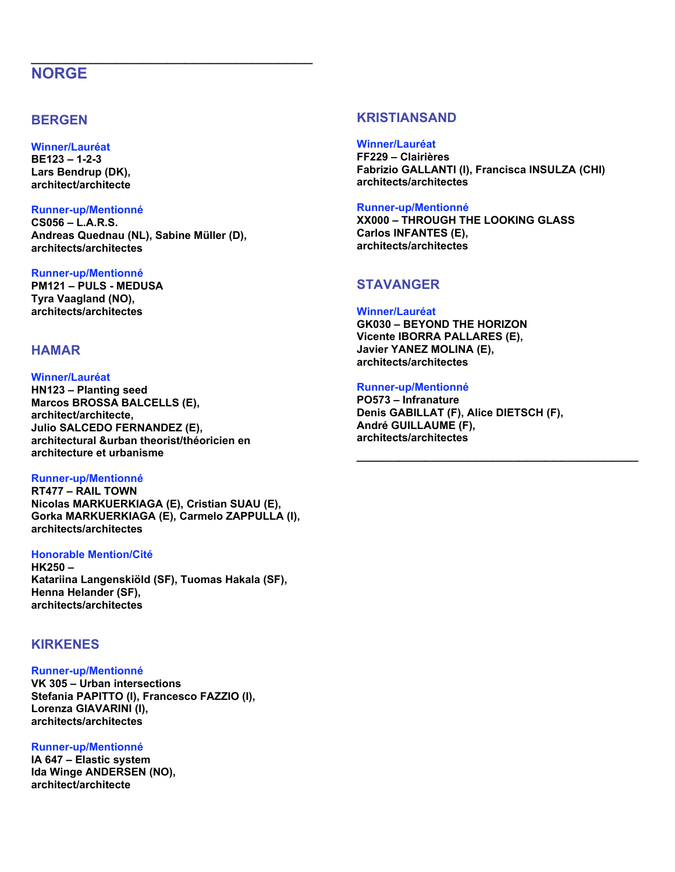# **NORGE**

## **BERGEN**

### **Winner/Lauréat**

**BE123 – 1-2-3 Lars Bendrup (DK), architect/architecte**

### **Runner-up/Mentionné**

**CS056 – L.A.R.S. Andreas Quednau (NL), Sabine Müller (D), architects/architectes**

\_\_\_\_\_\_\_\_\_\_\_\_\_\_\_\_\_\_\_\_\_\_\_\_\_\_\_\_\_\_\_\_\_

### **Runner-up/Mentionné**

**PM121 – PULS - MEDUSA Tyra Vaagland (NO), architects/architectes**

## **HAMAR**

### **Winner/Lauréat**

**HN123 – Planting seed Marcos BROSSA BALCELLS (E), architect/architecte, Julio SALCEDO FERNANDEZ (E), architectural &urban theorist/théoricien en architecture et urbanisme**

### **Runner-up/Mentionné**

**RT477 – RAIL TOWN Nicolas MARKUERKIAGA (E), Cristian SUAU (E), Gorka MARKUERKIAGA (E), Carmelo ZAPPULLA (I), architects/architectes**

### **Honorable Mention/Cité**

**HK250 – Katariina Langenskiöld (SF), Tuomas Hakala (SF), Henna Helander (SF), architects/architectes**

## **KIRKENES**

**Runner-up/Mentionné VK 305 – Urban intersections Stefania PAPITTO (I), Francesco FAZZIO (I), Lorenza GIAVARINI (I), architects/architectes**

### **Runner-up/Mentionné**

**IA 647 – Elastic system Ida Winge ANDERSEN (NO), architect/architecte**

## **KRISTIANSAND**

### **Winner/Lauréat**

**FF229 – Clairières Fabrizio GALLANTI (I), Francisca INSULZA (CHI) architects/architectes**

### **Runner-up/Mentionné**

**XX000 – THROUGH THE LOOKING GLASS Carlos INFANTES (E), architects/architectes**

## **STAVANGER**

### **Winner/Lauréat**

**GK030 – BEYOND THE HORIZON Vicente IBORRA PALLARES (E), Javier YANEZ MOLINA (E), architects/architectes**

### **Runner-up/Mentionné**

**PO573 – Infranature Denis GABILLAT (F), Alice DIETSCH (F), André GUILLAUME (F), architects/architectes**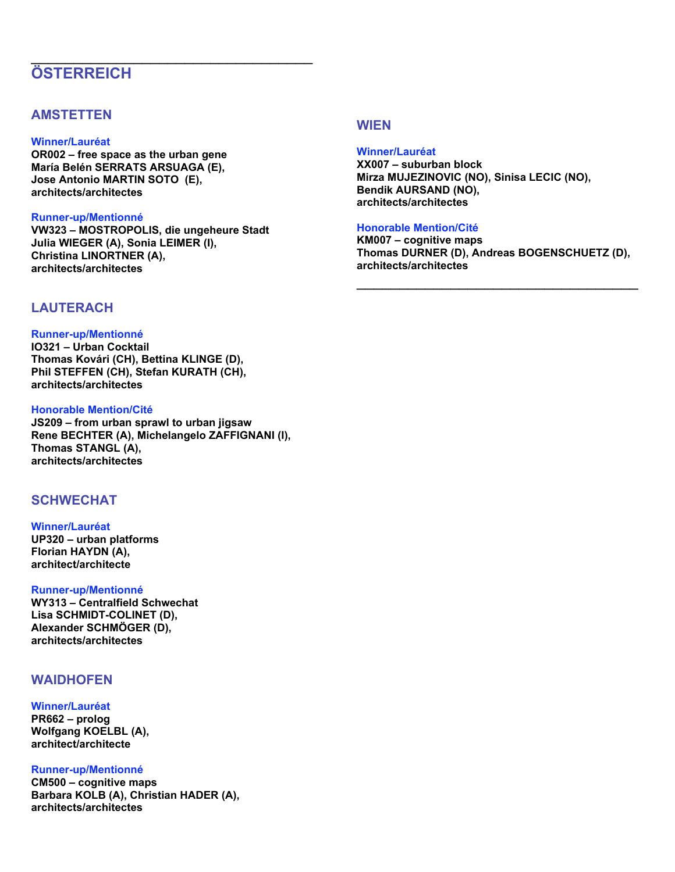# **ÖSTERREICH**

## **AMSTETTEN**

### **Winner/Lauréat**

**OR002 – free space as the urban gene María Belén SERRATS ARSUAGA (E), Jose Antonio MARTIN SOTO (E), architects/architectes**

### **Runner-up/Mentionné**

**VW323 – MOSTROPOLIS, die ungeheure Stadt Julia WIEGER (A), Sonia LEIMER (I), Christina LINORTNER (A), architects/architectes**

\_\_\_\_\_\_\_\_\_\_\_\_\_\_\_\_\_\_\_\_\_\_\_\_\_\_\_\_\_\_\_\_\_

## **LAUTERACH**

### **Runner-up/Mentionné**

**IO321 – Urban Cocktail Thomas Kovári (CH), Bettina KLINGE (D), Phil STEFFEN (CH), Stefan KURATH (CH), architects/architectes**

### **Honorable Mention/Cité**

**JS209 – from urban sprawl to urban jigsaw Rene BECHTER (A), Michelangelo ZAFFIGNANI (I), Thomas STANGL (A), architects/architectes**

## **SCHWECHAT**

### **Winner/Lauréat**

**UP320 – urban platforms Florian HAYDN (A), architect/architecte**

**Runner-up/Mentionné WY313 – Centralfield Schwechat Lisa SCHMIDT-COLINET (D), Alexander SCHMÖGER (D), architects/architectes**

## **WAIDHOFEN**

### **Winner/Lauréat**

**PR662 – prolog Wolfgang KOELBL (A), architect/architecte**

### **Runner-up/Mentionné**

**CM500 – cognitive maps Barbara KOLB (A), Christian HADER (A), architects/architectes**

## **WIEN**

### **Winner/Lauréat**

**XX007 – suburban block Mirza MUJEZINOVIC (NO), Sinisa LECIC (NO), Bendik AURSAND (NO), architects/architectes**

### **Honorable Mention/Cité**

**KM007 – cognitive maps Thomas DURNER (D), Andreas BOGENSCHUETZ (D), architects/architectes**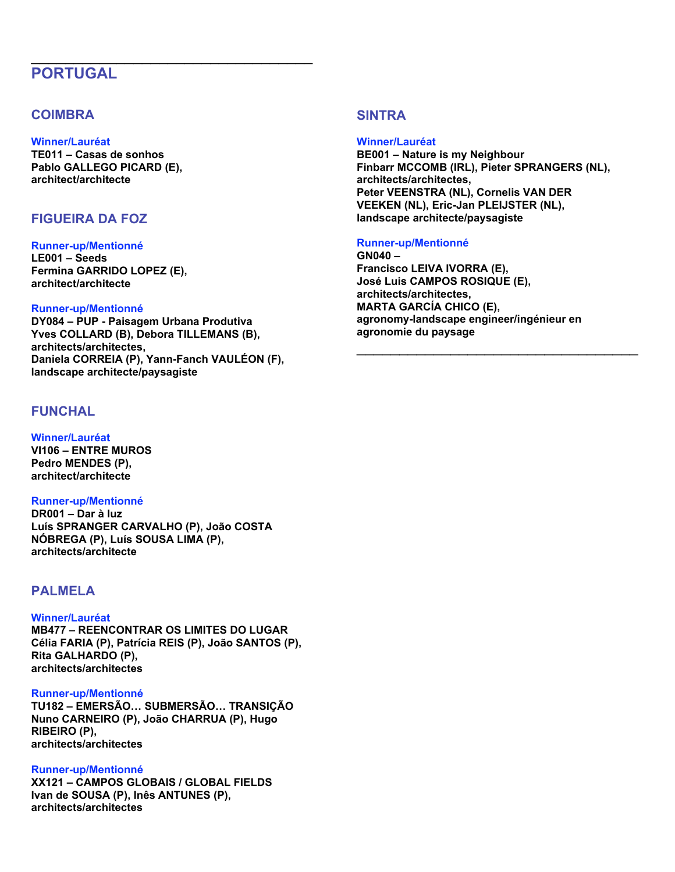# **PORTUGAL**

## **COIMBRA**

## **Winner/Lauréat**

**TE011 – Casas de sonhos Pablo GALLEGO PICARD (E), architect/architecte**

## **FIGUEIRA DA FOZ**

#### **Runner-up/Mentionné**

**LE001 – Seeds Fermina GARRIDO LOPEZ (E), architect/architecte**

### **Runner-up/Mentionné**

**DY084 – PUP - Paisagem Urbana Produtiva Yves COLLARD (B), Debora TILLEMANS (B), architects/architectes, Daniela CORREIA (P), Yann-Fanch VAULÉON (F), landscape architecte/paysagiste**

\_\_\_\_\_\_\_\_\_\_\_\_\_\_\_\_\_\_\_\_\_\_\_\_\_\_\_\_\_\_\_\_\_

## **FUNCHAL**

**Winner/Lauréat VI106 – ENTRE MUROS Pedro MENDES (P), architect/architecte**

### **Runner-up/Mentionné**

**DR001 – Dar à luz Luís SPRANGER CARVALHO (P), João COSTA NÓBREGA (P), Luís SOUSA LIMA (P), architects/architecte**

## **PALMELA**

### **Winner/Lauréat**

**MB477 – REENCONTRAR OS LIMITES DO LUGAR Célia FARIA (P), Patrícia REIS (P), João SANTOS (P), Rita GALHARDO (P), architects/architectes**

### **Runner-up/Mentionné**

**TU182 – EMERSÃO… SUBMERSÃO… TRANSIÇÃO Nuno CARNEIRO (P), João CHARRUA (P), Hugo RIBEIRO (P), architects/architectes**

### **Runner-up/Mentionné**

**XX121 – CAMPOS GLOBAIS / GLOBAL FIELDS Ivan de SOUSA (P), Inês ANTUNES (P), architects/architectes**

## **SINTRA**

**Winner/Lauréat BE001 – Nature is my Neighbour Finbarr MCCOMB (IRL), Pieter SPRANGERS (NL), architects/architectes, Peter VEENSTRA (NL), Cornelis VAN DER VEEKEN (NL), Eric-Jan PLEIJSTER (NL), landscape architecte/paysagiste**

### **Runner-up/Mentionné**

**GN040 – Francisco LEIVA IVORRA (E), José Luis CAMPOS ROSIQUE (E), architects/architectes, MARTA GARCÍA CHICO (E), agronomy-landscape engineer/ingénieur en agronomie du paysage**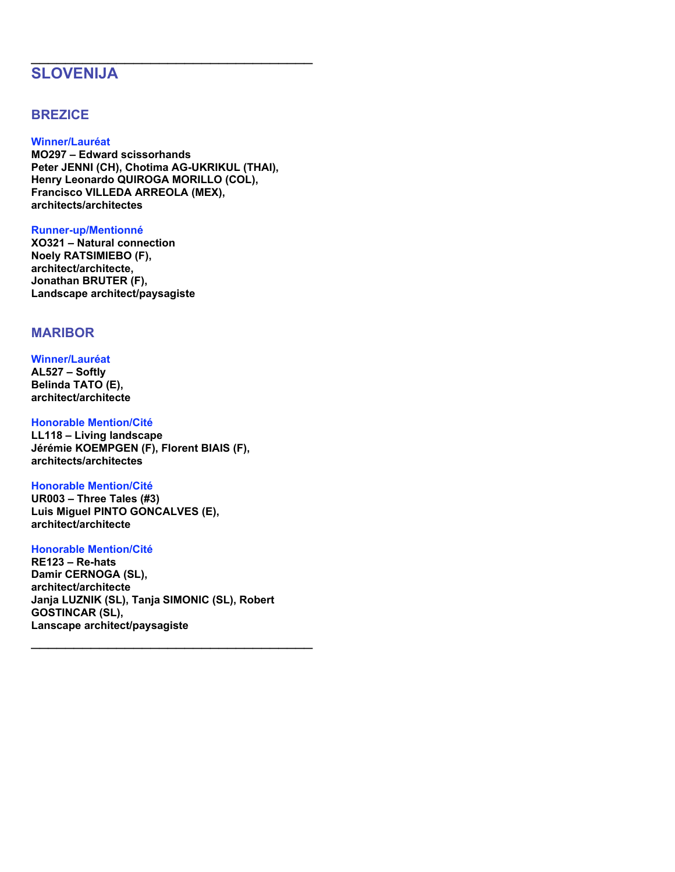# **SLOVENIJA**

## **BREZICE**

### **Winner/Lauréat**

**MO297 – Edward scissorhands Peter JENNI (CH), Chotima AG-UKRIKUL (THAI), Henry Leonardo QUIROGA MORILLO (COL), Francisco VILLEDA ARREOLA (MEX), architects/architectes**

\_\_\_\_\_\_\_\_\_\_\_\_\_\_\_\_\_\_\_\_\_\_\_\_\_\_\_\_\_\_\_\_\_

### **Runner-up/Mentionné**

**XO321 – Natural connection Noely RATSIMIEBO (F), architect/architecte, Jonathan BRUTER (F), Landscape architect/paysagiste**

## **MARIBOR**

### **Winner/Lauréat**

**AL527 – Softly Belinda TATO (E), architect/architecte**

### **Honorable Mention/Cité**

**LL118 – Living landscape Jérémie KOEMPGEN (F), Florent BIAIS (F), architects/architectes**

### **Honorable Mention/Cité**

**UR003 – Three Tales (#3) Luis Miguel PINTO GONCALVES (E), architect/architecte**

### **Honorable Mention/Cité**

**RE123 – Re-hats Damir CERNOGA (SL), architect/architecte Janja LUZNIK (SL), Tanja SIMONIC (SL), Robert GOSTINCAR (SL), Lanscape architect/paysagiste**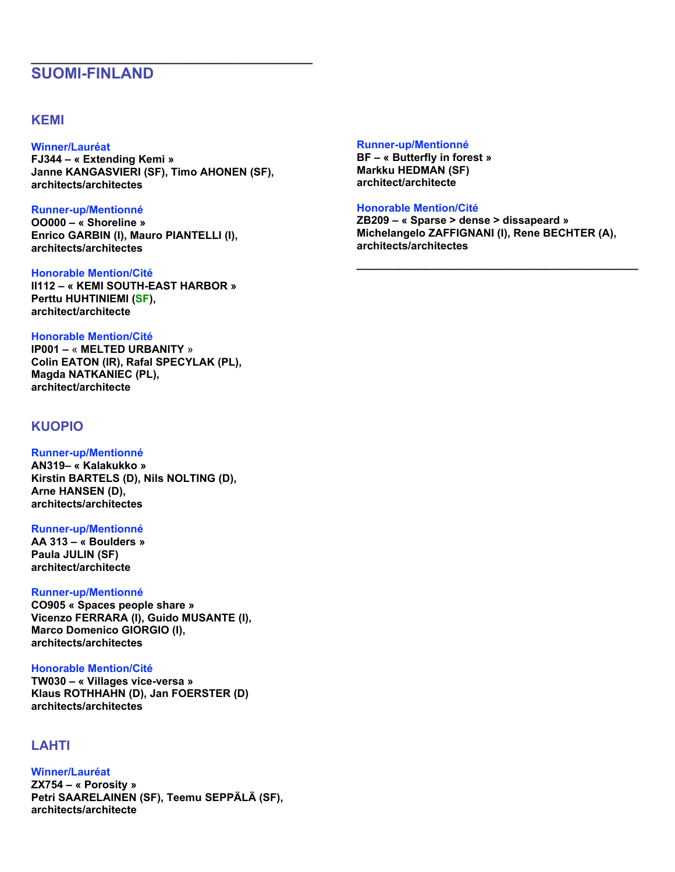# **SUOMI-FINLAND**

## **KEMI**

### **Winner/Lauréat**

**FJ344 – « Extending Kemi » Janne KANGASVIERI (SF), Timo AHONEN (SF), architects/architectes**

\_\_\_\_\_\_\_\_\_\_\_\_\_\_\_\_\_\_\_\_\_\_\_\_\_\_\_\_\_\_\_\_\_

### **Runner-up/Mentionné**

**OO000 – « Shoreline » Enrico GARBIN (I), Mauro PIANTELLI (I), architects/architectes**

### **Honorable Mention/Cité**

**II112 – « KEMI SOUTH-EAST HARBOR » Perttu HUHTINIEMI (SF), architect/architecte**

### **Honorable Mention/Cité**

**IP001 –** « **MELTED URBANITY** » **Colin EATON (IR), Rafal SPECYLAK (PL), Magda NATKANIEC (PL), architect/architecte**

## **KUOPIO**

## **Runner-up/Mentionné AN319– « Kalakukko » Kirstin BARTELS (D), Nils NOLTING (D),**

**Arne HANSEN (D), architects/architectes**

### **Runner-up/Mentionné**

**AA 313 – « Boulders » Paula JULIN (SF) architect/architecte**

### **Runner-up/Mentionné**

**CO905 « Spaces people share » Vicenzo FERRARA (I), Guido MUSANTE (I), Marco Domenico GIORGIO (I), architects/architectes**

### **Honorable Mention/Cité**

**TW030 – « Villages vice-versa » Klaus ROTHHAHN (D), Jan FOERSTER (D) architects/architectes**

## **LAHTI**

**Winner/Lauréat ZX754 – « Porosity » Petri SAARELAINEN (SF), Teemu SEPPÄLÄ (SF), architects/architecte**

### **Runner-up/Mentionné**

**BF – « Butterfly in forest » Markku HEDMAN (SF) architect/architecte**

### **Honorable Mention/Cité**

**ZB209 – « Sparse > dense > dissapeard » Michelangelo ZAFFIGNANI (I), Rene BECHTER (A), architects/architectes**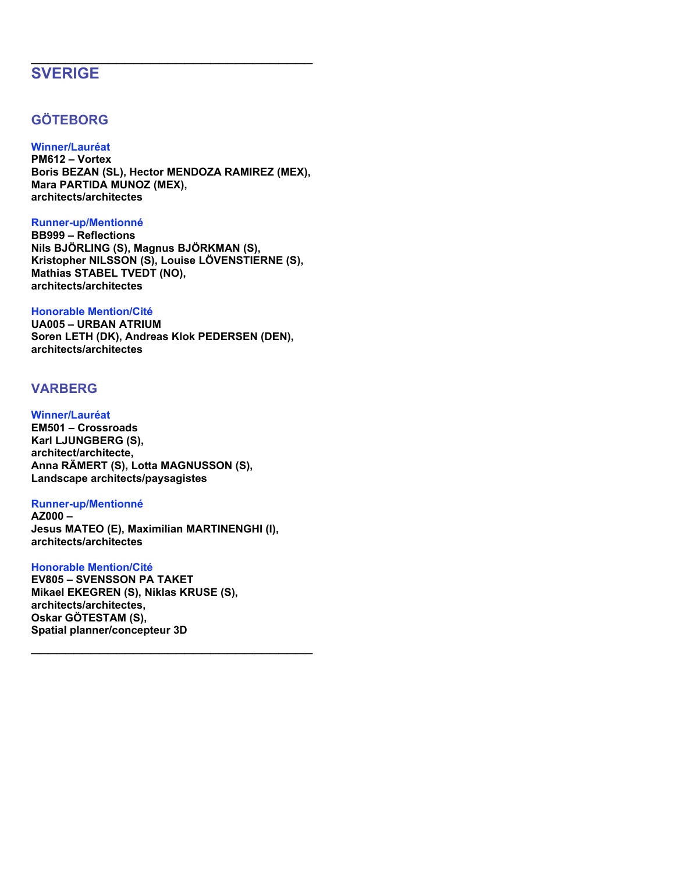# **SVERIGE**

# **GÖTEBORG**

## **Winner/Lauréat**

**PM612 – Vortex Boris BEZAN (SL), Hector MENDOZA RAMIREZ (MEX), Mara PARTIDA MUNOZ (MEX), architects/architectes**

\_\_\_\_\_\_\_\_\_\_\_\_\_\_\_\_\_\_\_\_\_\_\_\_\_\_\_\_\_\_\_\_\_

### **Runner-up/Mentionné**

**BB999 – Reflections Nils BJÖRLING (S), Magnus BJÖRKMAN (S), Kristopher NILSSON (S), Louise LÖVENSTIERNE (S), Mathias STABEL TVEDT (NO), architects/architectes**

### **Honorable Mention/Cité**

**UA005 – URBAN ATRIUM Soren LETH (DK), Andreas Klok PEDERSEN (DEN), architects/architectes**

## **VARBERG**

## **Winner/Lauréat**

**EM501 – Crossroads Karl LJUNGBERG (S), architect/architecte, Anna RÄMERT (S), Lotta MAGNUSSON (S), Landscape architects/paysagistes**

### **Runner-up/Mentionné**

**AZ000 – Jesus MATEO (E), Maximilian MARTINENGHI (I), architects/architectes**

\_\_\_\_\_\_\_\_\_\_\_\_\_\_\_\_\_\_\_\_\_\_\_\_\_\_\_\_\_\_\_\_\_

### **Honorable Mention/Cité**

**EV805 – SVENSSON PA TAKET Mikael EKEGREN (S), Niklas KRUSE (S), architects/architectes, Oskar GÖTESTAM (S), Spatial planner/concepteur 3D**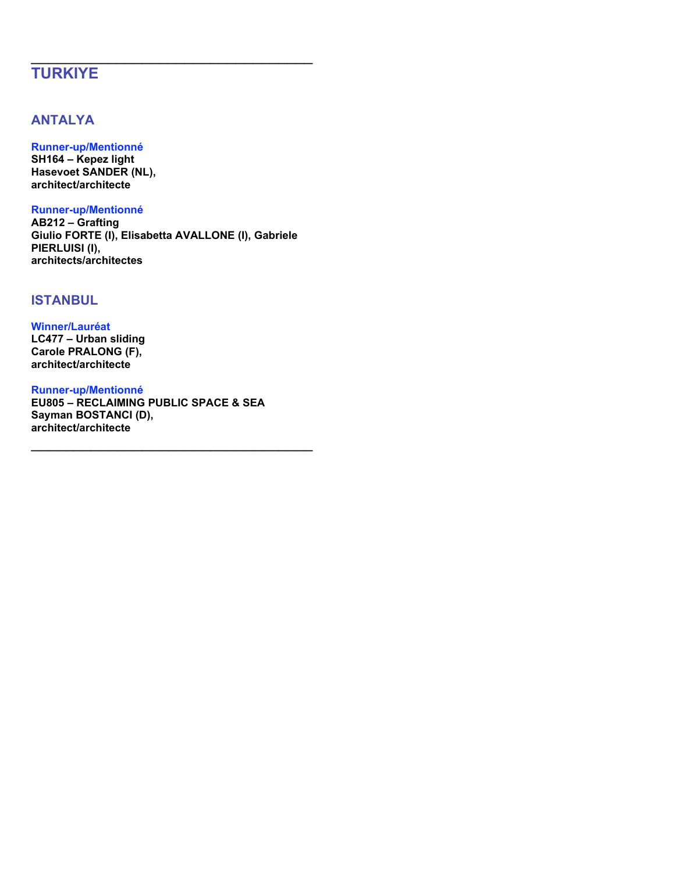# **TURKIYE**

## **ANTALYA**

## **Runner-up/Mentionné**

**SH164 – Kepez light Hasevoet SANDER (NL), architect/architecte**

### **Runner-up/Mentionné**

**AB212 – Grafting Giulio FORTE (I), Elisabetta AVALLONE (I), Gabriele PIERLUISI (I), architects/architectes**

\_\_\_\_\_\_\_\_\_\_\_\_\_\_\_\_\_\_\_\_\_\_\_\_\_\_\_\_\_\_\_\_\_

## **ISTANBUL**

### **Winner/Lauréat**

**LC477 – Urban sliding Carole PRALONG (F), architect/architecte**

### **Runner-up/Mentionné**

**EU805 – RECLAIMING PUBLIC SPACE & SEA Sayman BOSTANCI (D), architect/architecte**